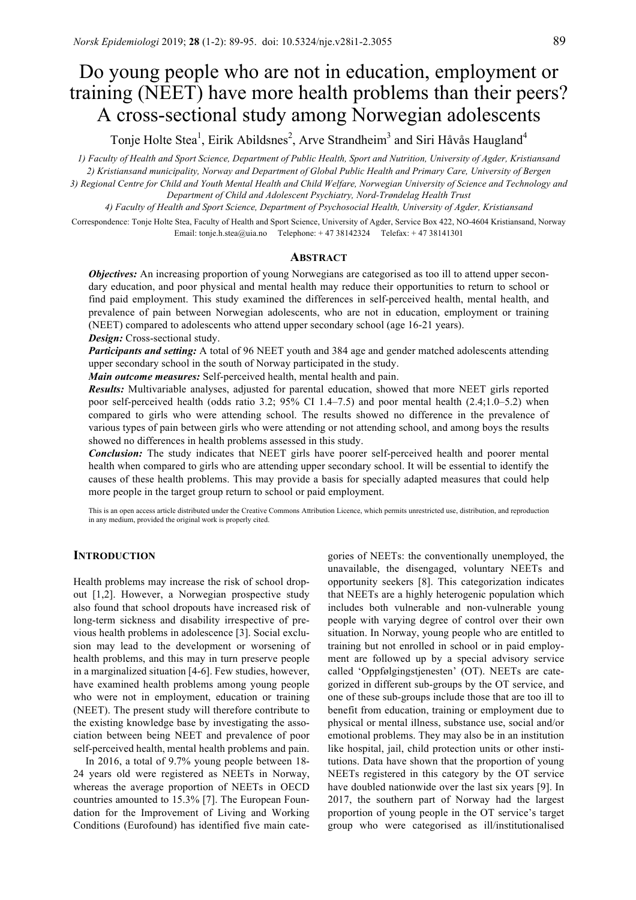# Do young people who are not in education, employment or training (NEET) have more health problems than their peers? A cross-sectional study among Norwegian adolescents

Tonje Holte Stea<sup>1</sup>, Eirik Abildsnes<sup>2</sup>, Arve Strandheim<sup>3</sup> and Siri Håvås Haugland<sup>4</sup>

*1) Faculty of Health and Sport Science, Department of Public Health, Sport and Nutrition, University of Agder, Kristiansand 2) Kristiansand municipality, Norway and Department of Global Public Health and Primary Care, University of Bergen 3) Regional Centre for Child and Youth Mental Health and Child Welfare, Norwegian University of Science and Technology and Department of Child and Adolescent Psychiatry, Nord-Trøndelag Health Trust*

*4) Faculty of Health and Sport Science, Department of Psychosocial Health, University of Agder, Kristiansand*

Correspondence: Tonje Holte Stea, Faculty of Health and Sport Science, University of Agder, Service Box 422, NO-4604 Kristiansand, Norway Email: tonje.h.stea@uia.no Telephone: + 47 38142324 Telefax: + 47 38141301

## **ABSTRACT**

**Objectives:** An increasing proportion of young Norwegians are categorised as too ill to attend upper secondary education, and poor physical and mental health may reduce their opportunities to return to school or find paid employment. This study examined the differences in self-perceived health, mental health, and prevalence of pain between Norwegian adolescents, who are not in education, employment or training (NEET) compared to adolescents who attend upper secondary school (age 16-21 years).

*Design:* Cross-sectional study.

*Participants and setting:* A total of 96 NEET youth and 384 age and gender matched adolescents attending upper secondary school in the south of Norway participated in the study.

*Main outcome measures:* Self-perceived health, mental health and pain.

*Results:* Multivariable analyses, adjusted for parental education, showed that more NEET girls reported poor self-perceived health (odds ratio 3.2; 95% CI 1.4–7.5) and poor mental health (2.4;1.0–5.2) when compared to girls who were attending school. The results showed no difference in the prevalence of various types of pain between girls who were attending or not attending school, and among boys the results showed no differences in health problems assessed in this study.

*Conclusion:* The study indicates that NEET girls have poorer self-perceived health and poorer mental health when compared to girls who are attending upper secondary school. It will be essential to identify the causes of these health problems. This may provide a basis for specially adapted measures that could help more people in the target group return to school or paid employment.

This is an open access article distributed under the Creative Commons Attribution Licence, which permits unrestricted use, distribution, and reproduction in any medium, provided the original work is properly cited.

# **INTRODUCTION**

Health problems may increase the risk of school dropout [1,2]. However, a Norwegian prospective study also found that school dropouts have increased risk of long-term sickness and disability irrespective of previous health problems in adolescence [3]. Social exclusion may lead to the development or worsening of health problems, and this may in turn preserve people in a marginalized situation [4-6]. Few studies, however, have examined health problems among young people who were not in employment, education or training (NEET). The present study will therefore contribute to the existing knowledge base by investigating the association between being NEET and prevalence of poor self-perceived health, mental health problems and pain.

In 2016, a total of 9.7% young people between 18- 24 years old were registered as NEETs in Norway, whereas the average proportion of NEETs in OECD countries amounted to 15.3% [7]. The European Foundation for the Improvement of Living and Working Conditions (Eurofound) has identified five main categories of NEETs: the conventionally unemployed, the unavailable, the disengaged, voluntary NEETs and opportunity seekers [8]. This categorization indicates that NEETs are a highly heterogenic population which includes both vulnerable and non-vulnerable young people with varying degree of control over their own situation. In Norway, young people who are entitled to training but not enrolled in school or in paid employment are followed up by a special advisory service called 'Oppfølgingstjenesten' (OT). NEETs are categorized in different sub-groups by the OT service, and one of these sub-groups include those that are too ill to benefit from education, training or employment due to physical or mental illness, substance use, social and/or emotional problems. They may also be in an institution like hospital, jail, child protection units or other institutions. Data have shown that the proportion of young NEETs registered in this category by the OT service have doubled nationwide over the last six years [9]. In 2017, the southern part of Norway had the largest proportion of young people in the OT service's target group who were categorised as ill/institutionalised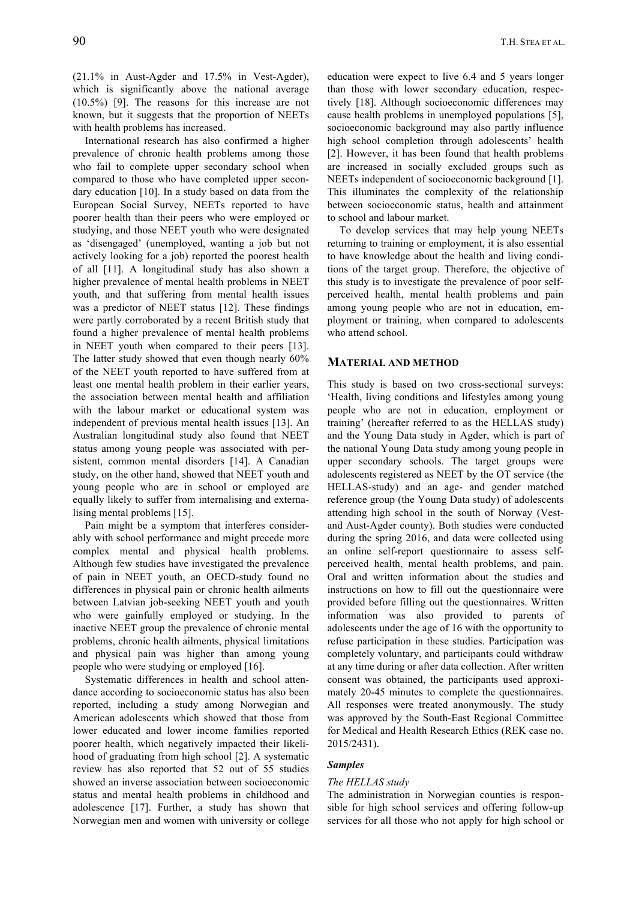(21.1% in Aust-Agder and 17.5% in Vest-Agder), which is significantly above the national average (10.5%) [9]. The reasons for this increase are not known, but it suggests that the proportion of NEETs with health problems has increased.

International research has also confirmed a higher prevalence of chronic health problems among those who fail to complete upper secondary school when compared to those who have completed upper secondary education [10]. In a study based on data from the European Social Survey, NEETs reported to have poorer health than their peers who were employed or studying, and those NEET youth who were designated as 'disengaged' (unemployed, wanting a job but not actively looking for a job) reported the poorest health of all [11]. A longitudinal study has also shown a higher prevalence of mental health problems in NEET youth, and that suffering from mental health issues was a predictor of NEET status [12]. These findings were partly corroborated by a recent British study that found a higher prevalence of mental health problems in NEET youth when compared to their peers [13]. The latter study showed that even though nearly 60% of the NEET youth reported to have suffered from at least one mental health problem in their earlier years, the association between mental health and affiliation with the labour market or educational system was independent of previous mental health issues [13]. An Australian longitudinal study also found that NEET status among young people was associated with persistent, common mental disorders [14]. A Canadian study, on the other hand, showed that NEET youth and young people who are in school or employed are equally likely to suffer from internalising and externalising mental problems [15].

Pain might be a symptom that interferes considerably with school performance and might precede more complex mental and physical health problems. Although few studies have investigated the prevalence of pain in NEET youth, an OECD-study found no differences in physical pain or chronic health ailments between Latvian job-seeking NEET youth and youth who were gainfully employed or studying. In the inactive NEET group the prevalence of chronic mental problems, chronic health ailments, physical limitations and physical pain was higher than among young people who were studying or employed [16].

Systematic differences in health and school attendance according to socioeconomic status has also been reported, including a study among Norwegian and American adolescents which showed that those from lower educated and lower income families reported poorer health, which negatively impacted their likelihood of graduating from high school [2]. A systematic review has also reported that 52 out of 55 studies showed an inverse association between socioeconomic status and mental health problems in childhood and adolescence [17]. Further, a study has shown that Norwegian men and women with university or college education were expect to live 6.4 and 5 years longer than those with lower secondary education, respectively [18]. Although socioeconomic differences may cause health problems in unemployed populations [5], socioeconomic background may also partly influence high school completion through adolescents' health [2]. However, it has been found that health problems are increased in socially excluded groups such as NEETs independent of socioeconomic background [1]. This illuminates the complexity of the relationship between socioeconomic status, health and attainment to school and labour market.

To develop services that may help young NEETs returning to training or employment, it is also essential to have knowledge about the health and living conditions of the target group. Therefore, the objective of this study is to investigate the prevalence of poor selfperceived health, mental health problems and pain among young people who are not in education, employment or training, when compared to adolescents who attend school.

## **MATERIAL AND METHOD**

This study is based on two cross-sectional surveys: 'Health, living conditions and lifestyles among young people who are not in education, employment or training' (hereafter referred to as the HELLAS study) and the Young Data study in Agder, which is part of the national Young Data study among young people in upper secondary schools. The target groups were adolescents registered as NEET by the OT service (the HELLAS-study) and an age- and gender matched reference group (the Young Data study) of adolescents attending high school in the south of Norway (Vestand Aust-Agder county). Both studies were conducted during the spring 2016, and data were collected using an online self-report questionnaire to assess selfperceived health, mental health problems, and pain. Oral and written information about the studies and instructions on how to fill out the questionnaire were provided before filling out the questionnaires. Written information was also provided to parents of adolescents under the age of 16 with the opportunity to refuse participation in these studies. Participation was completely voluntary, and participants could withdraw at any time during or after data collection. After written consent was obtained, the participants used approximately 20-45 minutes to complete the questionnaires. All responses were treated anonymously. The study was approved by the South-East Regional Committee for Medical and Health Research Ethics (REK case no. 2015/2431).

## *Samples*

#### *The HELLAS study*

The administration in Norwegian counties is responsible for high school services and offering follow-up services for all those who not apply for high school or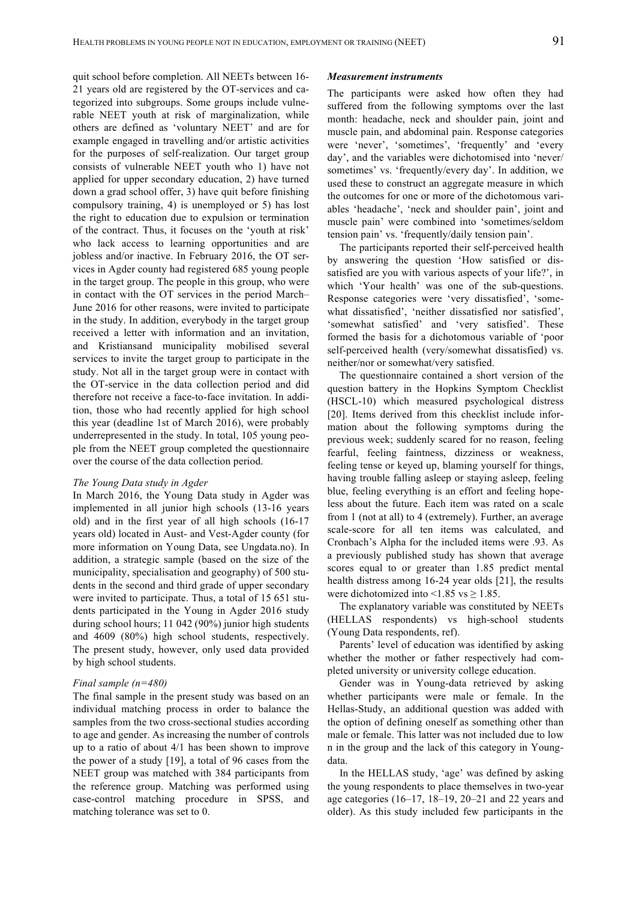quit school before completion. All NEETs between 16- 21 years old are registered by the OT-services and categorized into subgroups. Some groups include vulnerable NEET youth at risk of marginalization, while others are defined as 'voluntary NEET' and are for example engaged in travelling and/or artistic activities for the purposes of self-realization. Our target group consists of vulnerable NEET youth who 1) have not applied for upper secondary education, 2) have turned down a grad school offer, 3) have quit before finishing compulsory training, 4) is unemployed or 5) has lost the right to education due to expulsion or termination of the contract. Thus, it focuses on the 'youth at risk' who lack access to learning opportunities and are jobless and/or inactive. In February 2016, the OT services in Agder county had registered 685 young people in the target group. The people in this group, who were in contact with the OT services in the period March– June 2016 for other reasons, were invited to participate in the study. In addition, everybody in the target group received a letter with information and an invitation, and Kristiansand municipality mobilised several services to invite the target group to participate in the study. Not all in the target group were in contact with the OT-service in the data collection period and did therefore not receive a face-to-face invitation. In addition, those who had recently applied for high school this year (deadline 1st of March 2016), were probably underrepresented in the study. In total, 105 young people from the NEET group completed the questionnaire over the course of the data collection period.

#### *The Young Data study in Agder*

In March 2016, the Young Data study in Agder was implemented in all junior high schools (13-16 years old) and in the first year of all high schools (16-17 years old) located in Aust- and Vest-Agder county (for more information on Young Data, see Ungdata.no). In addition, a strategic sample (based on the size of the municipality, specialisation and geography) of 500 students in the second and third grade of upper secondary were invited to participate. Thus, a total of 15 651 students participated in the Young in Agder 2016 study during school hours; 11 042 (90%) junior high students and 4609 (80%) high school students, respectively. The present study, however, only used data provided by high school students.

## *Final sample (n=480)*

The final sample in the present study was based on an individual matching process in order to balance the samples from the two cross-sectional studies according to age and gender. As increasing the number of controls up to a ratio of about 4/1 has been shown to improve the power of a study [19], a total of 96 cases from the NEET group was matched with 384 participants from the reference group. Matching was performed using case-control matching procedure in SPSS, and matching tolerance was set to 0.

#### *Measurement instruments*

The participants were asked how often they had suffered from the following symptoms over the last month: headache, neck and shoulder pain, joint and muscle pain, and abdominal pain. Response categories were 'never', 'sometimes', 'frequently' and 'every day', and the variables were dichotomised into 'never/ sometimes' vs. 'frequently/every day'. In addition, we used these to construct an aggregate measure in which the outcomes for one or more of the dichotomous variables 'headache', 'neck and shoulder pain', joint and muscle pain' were combined into 'sometimes/seldom tension pain' vs. 'frequently/daily tension pain'.

The participants reported their self-perceived health by answering the question 'How satisfied or dissatisfied are you with various aspects of your life?', in which 'Your health' was one of the sub-questions. Response categories were 'very dissatisfied', 'somewhat dissatisfied', 'neither dissatisfied nor satisfied', 'somewhat satisfied' and 'very satisfied'. These formed the basis for a dichotomous variable of 'poor self-perceived health (very/somewhat dissatisfied) vs. neither/nor or somewhat/very satisfied.

The questionnaire contained a short version of the question battery in the Hopkins Symptom Checklist (HSCL-10) which measured psychological distress [20]. Items derived from this checklist include information about the following symptoms during the previous week; suddenly scared for no reason, feeling fearful, feeling faintness, dizziness or weakness, feeling tense or keyed up, blaming yourself for things, having trouble falling asleep or staying asleep, feeling blue, feeling everything is an effort and feeling hopeless about the future. Each item was rated on a scale from 1 (not at all) to 4 (extremely). Further, an average scale-score for all ten items was calculated, and Cronbach's Alpha for the included items were .93. As a previously published study has shown that average scores equal to or greater than 1.85 predict mental health distress among 16-24 year olds [21], the results were dichotomized into  $\leq 1.85$  vs  $\geq 1.85$ .

The explanatory variable was constituted by NEETs (HELLAS respondents) vs high-school students (Young Data respondents, ref).

Parents' level of education was identified by asking whether the mother or father respectively had completed university or university college education.

Gender was in Young-data retrieved by asking whether participants were male or female. In the Hellas-Study, an additional question was added with the option of defining oneself as something other than male or female. This latter was not included due to low n in the group and the lack of this category in Youngdata.

In the HELLAS study, 'age' was defined by asking the young respondents to place themselves in two-year age categories (16–17, 18–19, 20–21 and 22 years and older). As this study included few participants in the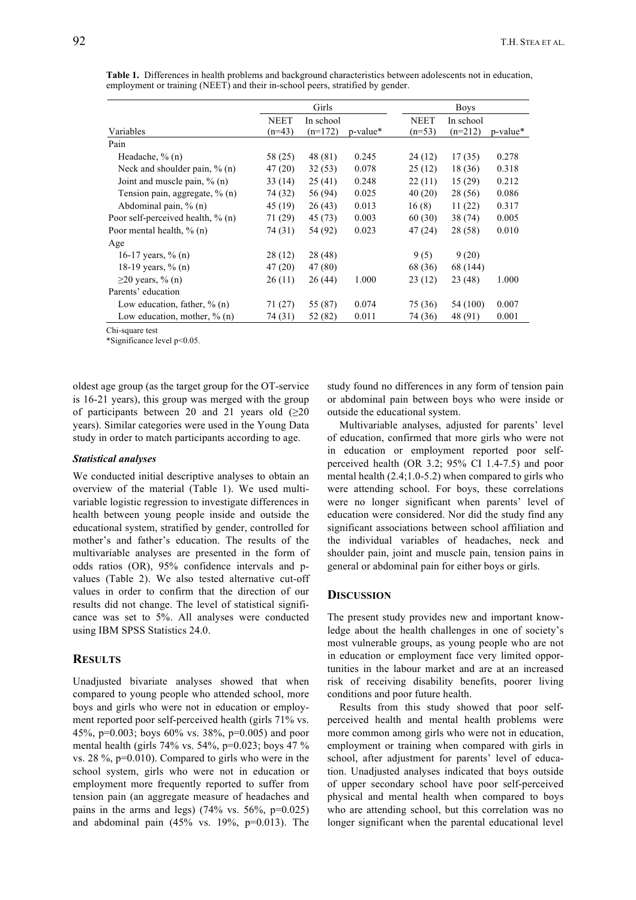|                                      | Girls            |                        |          |                         | <b>Boys</b> |                        |          |  |
|--------------------------------------|------------------|------------------------|----------|-------------------------|-------------|------------------------|----------|--|
| Variables                            | NEET<br>$(n=43)$ | In school<br>$(n=172)$ | p-value* | <b>NEET</b><br>$(n=53)$ |             | In school<br>$(n=212)$ | p-value* |  |
| Pain                                 |                  |                        |          |                         |             |                        |          |  |
| Headache, $\%$ (n)                   | 58 (25)          | 48 (81)                | 0.245    | 24 (12)                 |             | 17(35)                 | 0.278    |  |
| Neck and shoulder pain, $\%$ (n)     | 47 (20)          | 32 (53)                | 0.078    | 25(12)                  |             | 18 (36)                | 0.318    |  |
| Joint and muscle pain, $\%$ (n)      | 33(14)           | 25(41)                 | 0.248    | 22(11)                  |             | 15(29)                 | 0.212    |  |
| Tension pain, aggregate, % (n)       | 74 (32)          | 56 (94)                | 0.025    | 40(20)                  |             | 28 (56)                | 0.086    |  |
| Abdominal pain, $\%$ (n)             | 45 (19)          | 26(43)                 | 0.013    | 16(8)                   |             | 11(22)                 | 0.317    |  |
| Poor self-perceived health, $\%$ (n) | 71 (29)          | 45 (73)                | 0.003    | 60 (30)                 |             | 38(74)                 | 0.005    |  |
| Poor mental health, % (n)            | 74 (31)          | 54 (92)                | 0.023    | 47(24)                  |             | 28 (58)                | 0.010    |  |
| Age                                  |                  |                        |          |                         |             |                        |          |  |
| 16-17 years, $\%$ (n)                | 28 (12)          | 28 (48)                |          | 9(5)                    |             | 9(20)                  |          |  |
| 18-19 years, % (n)                   | 47 (20)          | 47 (80)                |          | 68 (36)                 |             | 68 (144)               |          |  |
| $\geq$ 20 years, % (n)               | 26(11)           | 26 (44)                | 1.000    | 23(12)                  |             | 23 (48)                | 1.000    |  |
| Parents' education                   |                  |                        |          |                         |             |                        |          |  |
| Low education, father, $\%$ (n)      | 71 (27)          | 55 (87)                | 0.074    | 75 (36)                 |             | 54 (100)               | 0.007    |  |
| Low education, mother, $\%$ (n)      | 74 (31)          | 52 (82)                | 0.011    | 74 (36)                 |             | 48 (91)                | 0.001    |  |

**Table 1.** Differences in health problems and background characteristics between adolescents not in education, employment or training (NEET) and their in-school peers, stratified by gender.

Chi-square test

\*Significance level p<0.05.

oldest age group (as the target group for the OT-service is 16-21 years), this group was merged with the group of participants between 20 and 21 years old  $(\geq 20)$ years). Similar categories were used in the Young Data study in order to match participants according to age.

#### *Statistical analyses*

We conducted initial descriptive analyses to obtain an overview of the material (Table 1). We used multivariable logistic regression to investigate differences in health between young people inside and outside the educational system, stratified by gender, controlled for mother's and father's education. The results of the multivariable analyses are presented in the form of odds ratios (OR), 95% confidence intervals and pvalues (Table 2). We also tested alternative cut-off values in order to confirm that the direction of our results did not change. The level of statistical significance was set to 5%. All analyses were conducted using IBM SPSS Statistics 24.0.

# **RESULTS**

Unadjusted bivariate analyses showed that when compared to young people who attended school, more boys and girls who were not in education or employment reported poor self-perceived health (girls 71% vs. 45%, p=0.003; boys 60% vs. 38%, p=0.005) and poor mental health (girls 74% vs. 54%, p=0.023; boys 47 % vs. 28 %, p=0.010). Compared to girls who were in the school system, girls who were not in education or employment more frequently reported to suffer from tension pain (an aggregate measure of headaches and pains in the arms and legs) (74% vs. 56%,  $p=0.025$ ) and abdominal pain  $(45\%$  vs.  $19\%$ ,  $p=0.013$ ). The study found no differences in any form of tension pain or abdominal pain between boys who were inside or outside the educational system.

Multivariable analyses, adjusted for parents' level of education, confirmed that more girls who were not in education or employment reported poor selfperceived health (OR 3.2; 95% CI 1.4-7.5) and poor mental health  $(2.4;1.0-5.2)$  when compared to girls who were attending school. For boys, these correlations were no longer significant when parents' level of education were considered. Nor did the study find any significant associations between school affiliation and the individual variables of headaches, neck and shoulder pain, joint and muscle pain, tension pains in general or abdominal pain for either boys or girls.

# **DISCUSSION**

The present study provides new and important knowledge about the health challenges in one of society's most vulnerable groups, as young people who are not in education or employment face very limited opportunities in the labour market and are at an increased risk of receiving disability benefits, poorer living conditions and poor future health.

Results from this study showed that poor selfperceived health and mental health problems were more common among girls who were not in education, employment or training when compared with girls in school, after adjustment for parents' level of education. Unadjusted analyses indicated that boys outside of upper secondary school have poor self-perceived physical and mental health when compared to boys who are attending school, but this correlation was no longer significant when the parental educational level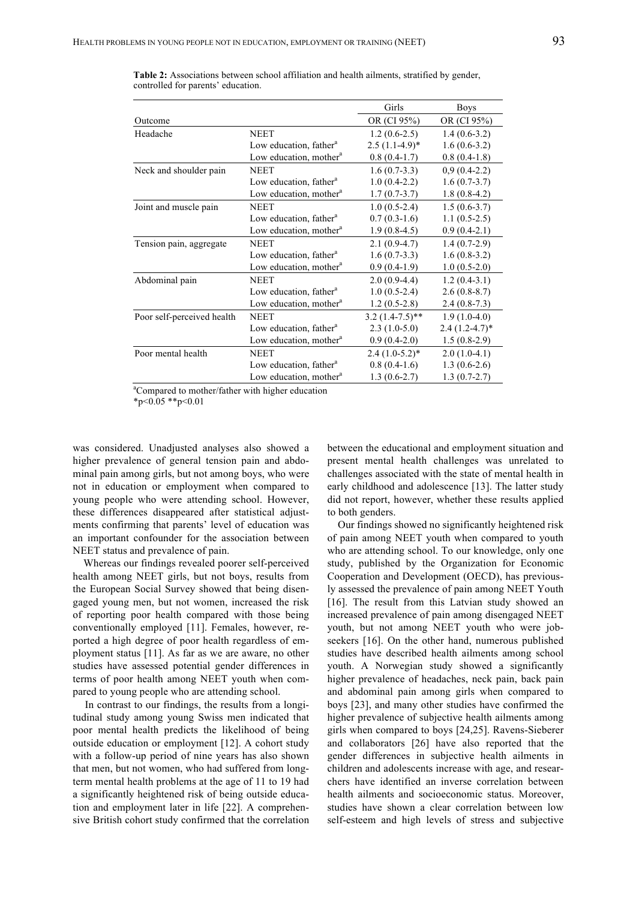|                            |                                    | Girls             | <b>Boys</b>      |
|----------------------------|------------------------------------|-------------------|------------------|
| Outcome                    |                                    | OR (CI 95%)       | OR (CI 95%)      |
| Headache                   | <b>NEET</b>                        | $1.2(0.6-2.5)$    | $1.4(0.6-3.2)$   |
|                            | Low education, father <sup>a</sup> | $2.5(1.1-4.9)$ *  | $1.6(0.6-3.2)$   |
|                            | Low education, mother <sup>a</sup> | $0.8(0.4-1.7)$    | $0.8(0.4-1.8)$   |
| Neck and shoulder pain     | <b>NEET</b>                        | $1.6(0.7-3.3)$    | $0,9(0.4-2.2)$   |
|                            | Low education, father <sup>a</sup> | $1.0(0.4-2.2)$    | $1.6(0.7-3.7)$   |
|                            | Low education, mother <sup>a</sup> | $1.7(0.7-3.7)$    | $1.8(0.8-4.2)$   |
| Joint and muscle pain      | <b>NEET</b>                        | $1.0(0.5-2.4)$    | $1.5(0.6-3.7)$   |
|                            | Low education, father <sup>a</sup> | $0.7(0.3-1.6)$    | $1.1(0.5-2.5)$   |
|                            | Low education, mother <sup>a</sup> | $1.9(0.8-4.5)$    | $0.9(0.4-2.1)$   |
| Tension pain, aggregate    | <b>NEET</b>                        | $2.1(0.9-4.7)$    | $1.4(0.7-2.9)$   |
|                            | Low education, father <sup>a</sup> | $1.6(0.7-3.3)$    | $1.6(0.8-3.2)$   |
|                            | Low education, mother <sup>a</sup> | $0.9(0.4-1.9)$    | $1.0(0.5-2.0)$   |
| Abdominal pain             | <b>NEET</b>                        | $2.0(0.9-4.4)$    | $1.2(0.4-3.1)$   |
|                            | Low education, father <sup>a</sup> | $1.0(0.5-2.4)$    | $2.6(0.8-8.7)$   |
|                            | Low education, mother <sup>a</sup> | $1.2(0.5-2.8)$    | $2.4(0.8-7.3)$   |
| Poor self-perceived health | <b>NEET</b>                        | $3.2(1.4-7.5)$ ** | $1.9(1.0-4.0)$   |
|                            | Low education, father <sup>a</sup> | $2.3(1.0-5.0)$    | $2.4(1.2-4.7)$ * |
|                            | Low education, mother <sup>a</sup> | $0.9(0.4-2.0)$    | $1.5(0.8-2.9)$   |
| Poor mental health         | <b>NEET</b>                        | $2.4(1.0-5.2)$ *  | $2.0(1.0-4.1)$   |
|                            | Low education, father <sup>a</sup> | $0.8(0.4-1.6)$    | $1.3(0.6-2.6)$   |
|                            | Low education, mother <sup>a</sup> | $1.3(0.6-2.7)$    | $1.3(0.7-2.7)$   |

**Table 2:** Associations between school affiliation and health ailments, stratified by gender, controlled for parents' education.

<sup>a</sup>Compared to mother/father with higher education

 $*_{p<0.05}$  \*\*p<0.01

was considered. Unadjusted analyses also showed a higher prevalence of general tension pain and abdominal pain among girls, but not among boys, who were not in education or employment when compared to young people who were attending school. However, these differences disappeared after statistical adjustments confirming that parents' level of education was an important confounder for the association between NEET status and prevalence of pain.

Whereas our findings revealed poorer self-perceived health among NEET girls, but not boys, results from the European Social Survey showed that being disengaged young men, but not women, increased the risk of reporting poor health compared with those being conventionally employed [11]. Females, however, reported a high degree of poor health regardless of employment status [11]. As far as we are aware, no other studies have assessed potential gender differences in terms of poor health among NEET youth when compared to young people who are attending school.

In contrast to our findings, the results from a longitudinal study among young Swiss men indicated that poor mental health predicts the likelihood of being outside education or employment [12]. A cohort study with a follow-up period of nine years has also shown that men, but not women, who had suffered from longterm mental health problems at the age of 11 to 19 had a significantly heightened risk of being outside education and employment later in life [22]. A comprehensive British cohort study confirmed that the correlation between the educational and employment situation and present mental health challenges was unrelated to challenges associated with the state of mental health in early childhood and adolescence [13]. The latter study did not report, however, whether these results applied to both genders.

Our findings showed no significantly heightened risk of pain among NEET youth when compared to youth who are attending school. To our knowledge, only one study, published by the Organization for Economic Cooperation and Development (OECD), has previously assessed the prevalence of pain among NEET Youth [16]. The result from this Latvian study showed an increased prevalence of pain among disengaged NEET youth, but not among NEET youth who were jobseekers [16]. On the other hand, numerous published studies have described health ailments among school youth. A Norwegian study showed a significantly higher prevalence of headaches, neck pain, back pain and abdominal pain among girls when compared to boys [23], and many other studies have confirmed the higher prevalence of subjective health ailments among girls when compared to boys [24,25]. Ravens-Sieberer and collaborators [26] have also reported that the gender differences in subjective health ailments in children and adolescents increase with age, and researchers have identified an inverse correlation between health ailments and socioeconomic status. Moreover, studies have shown a clear correlation between low self-esteem and high levels of stress and subjective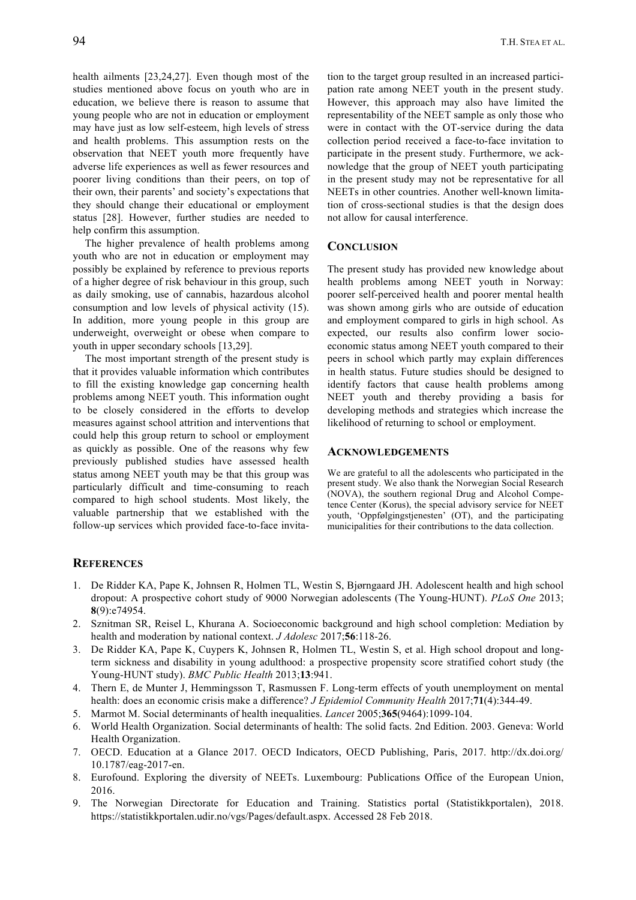health ailments [23,24,27]. Even though most of the studies mentioned above focus on youth who are in education, we believe there is reason to assume that young people who are not in education or employment may have just as low self-esteem, high levels of stress and health problems. This assumption rests on the observation that NEET youth more frequently have adverse life experiences as well as fewer resources and poorer living conditions than their peers, on top of their own, their parents' and society's expectations that they should change their educational or employment status [28]. However, further studies are needed to help confirm this assumption.

The higher prevalence of health problems among youth who are not in education or employment may possibly be explained by reference to previous reports of a higher degree of risk behaviour in this group, such as daily smoking, use of cannabis, hazardous alcohol consumption and low levels of physical activity (15). In addition, more young people in this group are underweight, overweight or obese when compare to youth in upper secondary schools [13,29].

The most important strength of the present study is that it provides valuable information which contributes to fill the existing knowledge gap concerning health problems among NEET youth. This information ought to be closely considered in the efforts to develop measures against school attrition and interventions that could help this group return to school or employment as quickly as possible. One of the reasons why few previously published studies have assessed health status among NEET youth may be that this group was particularly difficult and time-consuming to reach compared to high school students. Most likely, the valuable partnership that we established with the follow-up services which provided face-to-face invitation to the target group resulted in an increased participation rate among NEET youth in the present study. However, this approach may also have limited the representability of the NEET sample as only those who were in contact with the OT-service during the data collection period received a face-to-face invitation to participate in the present study. Furthermore, we acknowledge that the group of NEET youth participating in the present study may not be representative for all NEETs in other countries. Another well-known limitation of cross-sectional studies is that the design does not allow for causal interference.

# **CONCLUSION**

The present study has provided new knowledge about health problems among NEET youth in Norway: poorer self-perceived health and poorer mental health was shown among girls who are outside of education and employment compared to girls in high school. As expected, our results also confirm lower socioeconomic status among NEET youth compared to their peers in school which partly may explain differences in health status. Future studies should be designed to identify factors that cause health problems among NEET youth and thereby providing a basis for developing methods and strategies which increase the likelihood of returning to school or employment.

#### **ACKNOWLEDGEMENTS**

We are grateful to all the adolescents who participated in the present study. We also thank the Norwegian Social Research (NOVA), the southern regional Drug and Alcohol Competence Center (Korus), the special advisory service for NEET youth, 'Oppfølgingstjenesten' (OT), and the participating municipalities for their contributions to the data collection.

## **REFERENCES**

- 1. De Ridder KA, Pape K, Johnsen R, Holmen TL, Westin S, Bjørngaard JH. Adolescent health and high school dropout: A prospective cohort study of 9000 Norwegian adolescents (The Young-HUNT). *PLoS One* 2013; **8**(9):e74954.
- 2. Sznitman SR, Reisel L, Khurana A. Socioeconomic background and high school completion: Mediation by health and moderation by national context. *J Adolesc* 2017;**56**:118-26.
- 3. De Ridder KA, Pape K, Cuypers K, Johnsen R, Holmen TL, Westin S, et al. High school dropout and longterm sickness and disability in young adulthood: a prospective propensity score stratified cohort study (the Young-HUNT study). *BMC Public Health* 2013;**13**:941.
- 4. Thern E, de Munter J, Hemmingsson T, Rasmussen F. Long-term effects of youth unemployment on mental health: does an economic crisis make a difference? *J Epidemiol Community Health* 2017;**71**(4):344-49.
- 5. Marmot M. Social determinants of health inequalities. *Lancet* 2005;**365**(9464):1099-104.
- 6. World Health Organization. Social determinants of health: The solid facts. 2nd Edition. 2003. Geneva: World Health Organization.
- 7. OECD. Education at a Glance 2017. OECD Indicators, OECD Publishing, Paris, 2017. http://dx.doi.org/ 10.1787/eag-2017-en.
- 8. Eurofound. Exploring the diversity of NEETs. Luxembourg: Publications Office of the European Union, 2016.
- 9. The Norwegian Directorate for Education and Training. Statistics portal (Statistikkportalen), 2018. https://statistikkportalen.udir.no/vgs/Pages/default.aspx. Accessed 28 Feb 2018.